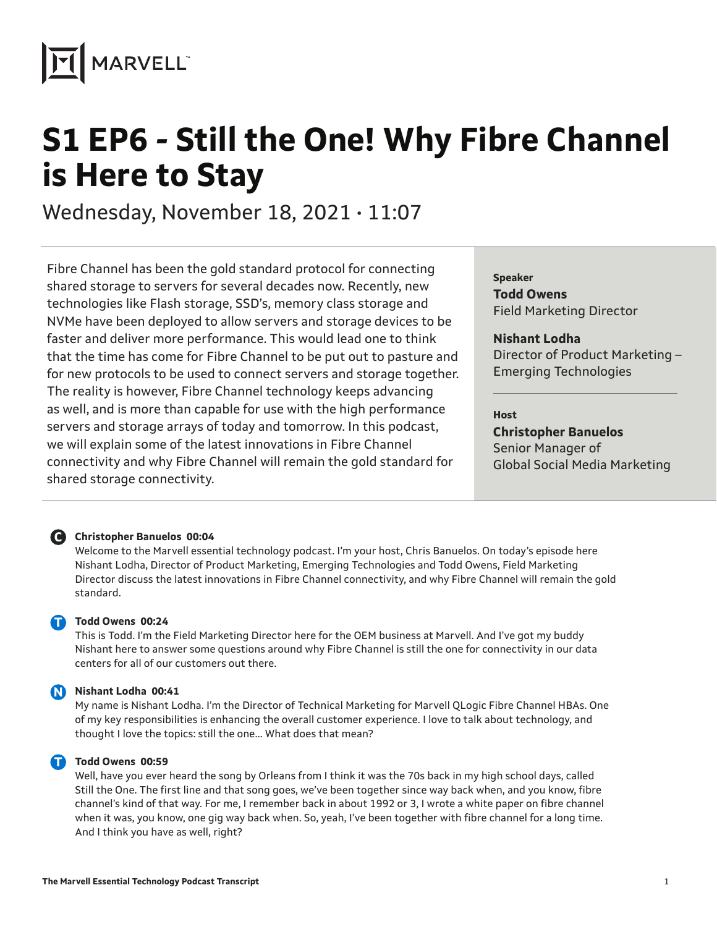

# **S1 EP6 - Still the One! Why Fibre Channel is Here to Stay**

Wednesday, November 18, 2021 • 11:07

Fibre Channel has been the gold standard protocol for connecting shared storage to servers for several decades now. Recently, new technologies like Flash storage, SSD's, memory class storage and NVMe have been deployed to allow servers and storage devices to be faster and deliver more performance. This would lead one to think that the time has come for Fibre Channel to be put out to pasture and for new protocols to be used to connect servers and storage together. The reality is however, Fibre Channel technology keeps advancing as well, and is more than capable for use with the high performance servers and storage arrays of today and tomorrow. In this podcast, we will explain some of the latest innovations in Fibre Channel connectivity and why Fibre Channel will remain the gold standard for shared storage connectivity.

**Speaker Todd Owens** Field Marketing Director

**Nishant Lodha** Director of Product Marketing – Emerging Technologies

#### **Host**

**Christopher Banuelos** Senior Manager of Global Social Media Marketing



#### **Christopher Banuelos 00:04 C**

Welcome to the Marvell essential technology podcast. I'm your host, Chris Banuelos. On today's episode here Nishant Lodha, Director of Product Marketing, Emerging Technologies and Todd Owens, Field Marketing Director discuss the latest innovations in Fibre Channel connectivity, and why Fibre Channel will remain the gold standard.

**Todd Owens 00:24** 

This is Todd. I'm the Field Marketing Director here for the OEM business at Marvell. And I've got my buddy Nishant here to answer some questions around why Fibre Channel is still the one for connectivity in our data centers for all of our customers out there.

### **Nishant Lodha 00:41 N**

My name is Nishant Lodha. I'm the Director of Technical Marketing for Marvell QLogic Fibre Channel HBAs. One of my key responsibilities is enhancing the overall customer experience. I love to talk about technology, and thought I love the topics: still the one… What does that mean?

#### **Todd Owens 00:59 T**

Well, have you ever heard the song by Orleans from I think it was the 70s back in my high school days, called Still the One. The first line and that song goes, we've been together since way back when, and you know, fibre channel's kind of that way. For me, I remember back in about 1992 or 3, I wrote a white paper on fibre channel when it was, you know, one gig way back when. So, yeah, I've been together with fibre channel for a long time. And I think you have as well, right?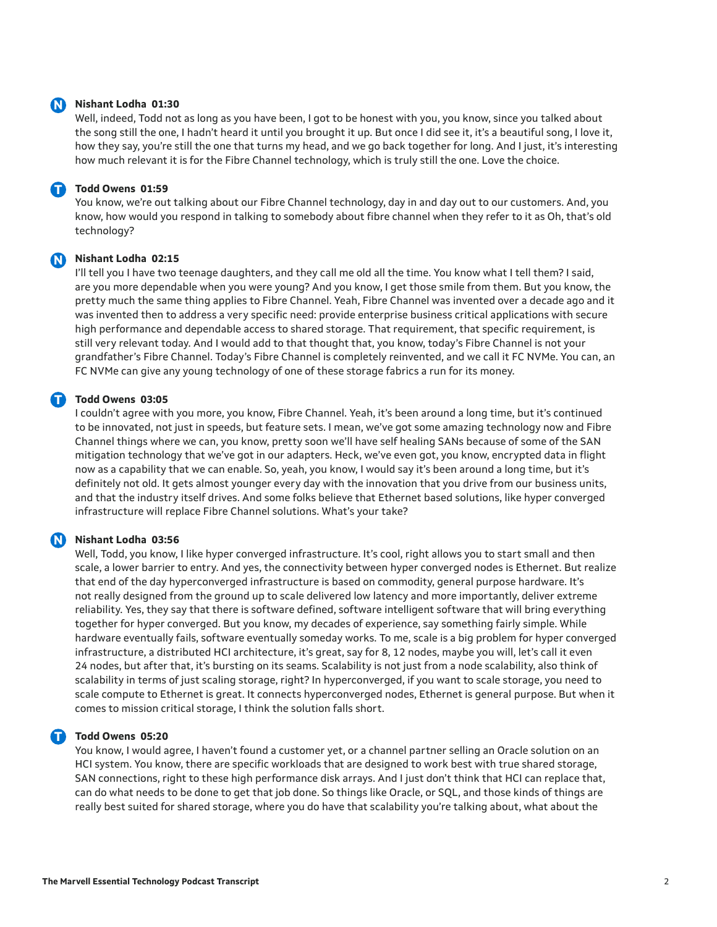#### **Nishant Lodha 01:30 N**

Well, indeed, Todd not as long as you have been, I got to be honest with you, you know, since you talked about the song still the one, I hadn't heard it until you brought it up. But once I did see it, it's a beautiful song, I love it, how they say, you're still the one that turns my head, and we go back together for long. And I just, it's interesting how much relevant it is for the Fibre Channel technology, which is truly still the one. Love the choice.

#### **Todd Owens 01:59 T**

You know, we're out talking about our Fibre Channel technology, day in and day out to our customers. And, you know, how would you respond in talking to somebody about fibre channel when they refer to it as Oh, that's old technology?

#### **Nishant Lodha 02:15 N**

I'll tell you I have two teenage daughters, and they call me old all the time. You know what I tell them? I said, are you more dependable when you were young? And you know, I get those smile from them. But you know, the pretty much the same thing applies to Fibre Channel. Yeah, Fibre Channel was invented over a decade ago and it was invented then to address a very specific need: provide enterprise business critical applications with secure high performance and dependable access to shared storage. That requirement, that specific requirement, is still very relevant today. And I would add to that thought that, you know, today's Fibre Channel is not your grandfather's Fibre Channel. Today's Fibre Channel is completely reinvented, and we call it FC NVMe. You can, an FC NVMe can give any young technology of one of these storage fabrics a run for its money.

#### **T** Todd Owens 03:05

I couldn't agree with you more, you know, Fibre Channel. Yeah, it's been around a long time, but it's continued to be innovated, not just in speeds, but feature sets. I mean, we've got some amazing technology now and Fibre Channel things where we can, you know, pretty soon we'll have self healing SANs because of some of the SAN mitigation technology that we've got in our adapters. Heck, we've even got, you know, encrypted data in flight now as a capability that we can enable. So, yeah, you know, I would say it's been around a long time, but it's definitely not old. It gets almost younger every day with the innovation that you drive from our business units, and that the industry itself drives. And some folks believe that Ethernet based solutions, like hyper converged infrastructure will replace Fibre Channel solutions. What's your take?

#### **Nishant Lodha 03:56 N**

Well, Todd, you know, I like hyper converged infrastructure. It's cool, right allows you to start small and then scale, a lower barrier to entry. And yes, the connectivity between hyper converged nodes is Ethernet. But realize that end of the day hyperconverged infrastructure is based on commodity, general purpose hardware. It's not really designed from the ground up to scale delivered low latency and more importantly, deliver extreme reliability. Yes, they say that there is software defined, software intelligent software that will bring everything together for hyper converged. But you know, my decades of experience, say something fairly simple. While hardware eventually fails, software eventually someday works. To me, scale is a big problem for hyper converged infrastructure, a distributed HCI architecture, it's great, say for 8, 12 nodes, maybe you will, let's call it even 24 nodes, but after that, it's bursting on its seams. Scalability is not just from a node scalability, also think of scalability in terms of just scaling storage, right? In hyperconverged, if you want to scale storage, you need to scale compute to Ethernet is great. It connects hyperconverged nodes, Ethernet is general purpose. But when it comes to mission critical storage, I think the solution falls short.

#### **T** Todd Owens 05:20

You know, I would agree, I haven't found a customer yet, or a channel partner selling an Oracle solution on an HCI system. You know, there are specific workloads that are designed to work best with true shared storage, SAN connections, right to these high performance disk arrays. And I just don't think that HCI can replace that, can do what needs to be done to get that job done. So things like Oracle, or SQL, and those kinds of things are really best suited for shared storage, where you do have that scalability you're talking about, what about the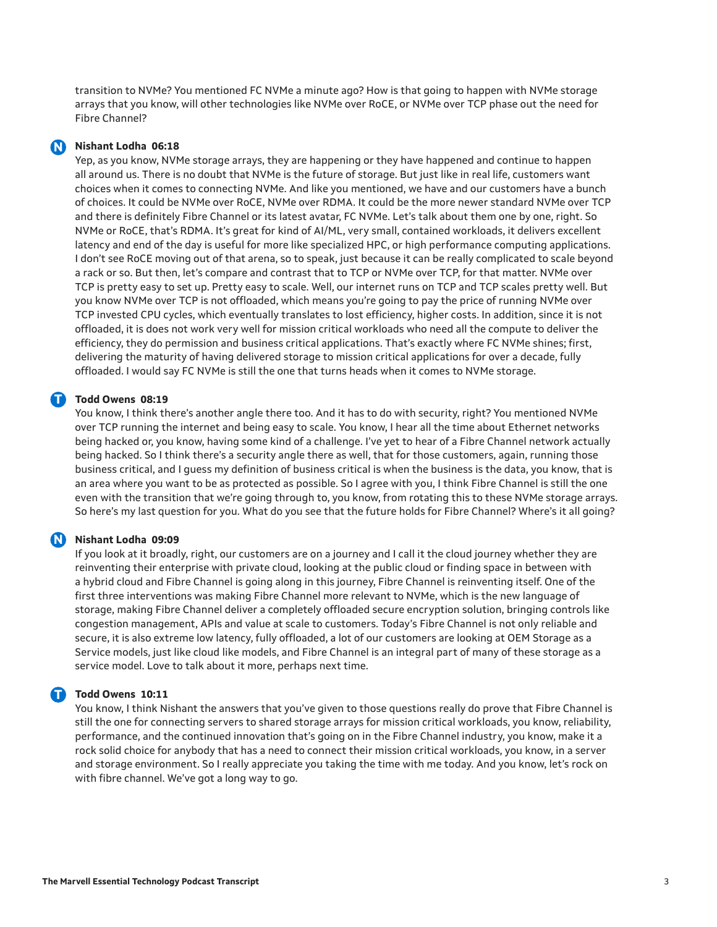transition to NVMe? You mentioned FC NVMe a minute ago? How is that going to happen with NVMe storage arrays that you know, will other technologies like NVMe over RoCE, or NVMe over TCP phase out the need for Fibre Channel?

#### **Nishant Lodha 06:18 N**

Yep, as you know, NVMe storage arrays, they are happening or they have happened and continue to happen all around us. There is no doubt that NVMe is the future of storage. But just like in real life, customers want choices when it comes to connecting NVMe. And like you mentioned, we have and our customers have a bunch of choices. It could be NVMe over RoCE, NVMe over RDMA. It could be the more newer standard NVMe over TCP and there is definitely Fibre Channel or its latest avatar, FC NVMe. Let's talk about them one by one, right. So NVMe or RoCE, that's RDMA. It's great for kind of AI/ML, very small, contained workloads, it delivers excellent latency and end of the day is useful for more like specialized HPC, or high performance computing applications. I don't see RoCE moving out of that arena, so to speak, just because it can be really complicated to scale beyond a rack or so. But then, let's compare and contrast that to TCP or NVMe over TCP, for that matter. NVMe over TCP is pretty easy to set up. Pretty easy to scale. Well, our internet runs on TCP and TCP scales pretty well. But you know NVMe over TCP is not offloaded, which means you're going to pay the price of running NVMe over TCP invested CPU cycles, which eventually translates to lost efficiency, higher costs. In addition, since it is not offloaded, it is does not work very well for mission critical workloads who need all the compute to deliver the efficiency, they do permission and business critical applications. That's exactly where FC NVMe shines; first, delivering the maturity of having delivered storage to mission critical applications for over a decade, fully offloaded. I would say FC NVMe is still the one that turns heads when it comes to NVMe storage.

#### **T** Todd Owens 08:19

You know, I think there's another angle there too. And it has to do with security, right? You mentioned NVMe over TCP running the internet and being easy to scale. You know, I hear all the time about Ethernet networks being hacked or, you know, having some kind of a challenge. I've yet to hear of a Fibre Channel network actually being hacked. So I think there's a security angle there as well, that for those customers, again, running those business critical, and I guess my definition of business critical is when the business is the data, you know, that is an area where you want to be as protected as possible. So I agree with you, I think Fibre Channel is still the one even with the transition that we're going through to, you know, from rotating this to these NVMe storage arrays. So here's my last question for you. What do you see that the future holds for Fibre Channel? Where's it all going?

#### **Nishant Lodha 09:09 N**

If you look at it broadly, right, our customers are on a journey and I call it the cloud journey whether they are reinventing their enterprise with private cloud, looking at the public cloud or finding space in between with a hybrid cloud and Fibre Channel is going along in this journey, Fibre Channel is reinventing itself. One of the first three interventions was making Fibre Channel more relevant to NVMe, which is the new language of storage, making Fibre Channel deliver a completely offloaded secure encryption solution, bringing controls like congestion management, APIs and value at scale to customers. Today's Fibre Channel is not only reliable and secure, it is also extreme low latency, fully offloaded, a lot of our customers are looking at OEM Storage as a Service models, just like cloud like models, and Fibre Channel is an integral part of many of these storage as a service model. Love to talk about it more, perhaps next time.

#### **T** Todd Owens 10:11

You know, I think Nishant the answers that you've given to those questions really do prove that Fibre Channel is still the one for connecting servers to shared storage arrays for mission critical workloads, you know, reliability, performance, and the continued innovation that's going on in the Fibre Channel industry, you know, make it a rock solid choice for anybody that has a need to connect their mission critical workloads, you know, in a server and storage environment. So I really appreciate you taking the time with me today. And you know, let's rock on with fibre channel. We've got a long way to go.